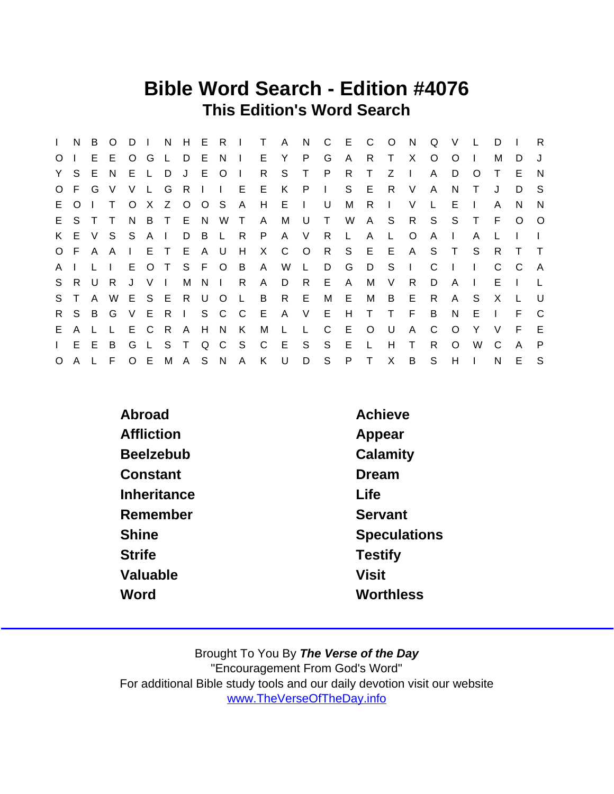## Bible Word Search - Edition #4076 This Edition's Word Search

|              | N              | B            | $\circ$        | D            | $\Box$         | N      |         |                | HERI           |              | $\top$       | A.           | N              | $\mathsf{C}$ | - E          | $\mathsf{C}$ | $\circ$      | N            | Q            | V            |              | D  |              | R            |
|--------------|----------------|--------------|----------------|--------------|----------------|--------|---------|----------------|----------------|--------------|--------------|--------------|----------------|--------------|--------------|--------------|--------------|--------------|--------------|--------------|--------------|----|--------------|--------------|
| $\Omega$     |                | E.           | - E            | $\circ$      | G              |        | D       | - E -          | N <sub>l</sub> |              | E.           | Y            | P.             | G            | A            | R.           | T.           | X            | O            | $\Omega$     |              | м  | D.           |              |
| Y            | S.             | E            | <sup>N</sup>   | E.           |                | D      | J       | E.             | $\circ$        | $\Box$       | R.           | S.           | T.             | $\mathsf{P}$ | R.           | T            | Z            | $\Box$       | A            | D            | O            |    | E            | <sup>N</sup> |
|              | O F            | G            | <sup>V</sup>   | V            | $\mathsf{L}$   | G      | R       | $\mathbb{R}^n$ | $\mathbf{L}$   | E            | E            | K            | P              | $\mathbf{L}$ | S            | E            | R.           | V            | $\mathsf{A}$ | N            | T.           |    | D.           | - S          |
| E.           | $\circ$        |              | T              | $\circ$      | X.             |        |         |                | Z O O S A      |              | H            | E            | $\blacksquare$ | U            | М            | R            | $\mathbf{L}$ | V            | L            | E            |              | A  | N.           | N            |
|              | E S            |              | $\top$         | N.           |                |        | B T E N |                | - W            | $\top$       | $\mathsf{A}$ | М            | U              | $\top$       | W            | $\mathsf{A}$ |              | S R          | S            | S.           | T.           | E  | $\circ$      | $\circ$      |
|              | K E V          |              | S.             | S.           | $A \mid$       |        | D       | B              | L R            |              | P.           | $\mathsf{A}$ | V              | R.           | L.           | A            | L.           | $\circ$      | $\mathsf{A}$ | $\mathbf{I}$ | A            |    |              |              |
|              | OF A A         |              |                | $\mathbf{L}$ |                | E T    | E A U   |                |                | H            | $X$ $C$      |              | $\circ$ O      | R            | -S           | $E$ $E$      |              | $\mathsf{A}$ | S.           | $\top$       | S.           | R  |              | $\top$       |
| A.           |                |              | $\blacksquare$ | E            | $\circ$        | $\top$ |         |                | S F O B        |              | A            | W            | $\mathsf{L}$   | D            | G            | D            | S.           | $\mathbf{I}$ | C            |              | $\mathbf{I}$ | C  | C.           | A            |
|              | S <sub>R</sub> | U            | - R            | J            | V <sub>l</sub> |        | М       |                | NI R           |              | $\mathsf{A}$ | D            | R              | E.           | $\mathsf{A}$ | М            | V            | R.           | D            | A            |              | E. |              |              |
| S            |                | $\mathsf{A}$ | W              | E            |                |        | S E R U |                | $\circ$        | $\mathsf{L}$ | B            | R.           | Е              | M            | E            | М            | B            | Е            | R.           | A            | S            | X  | $\mathbf{L}$ | U            |
|              | R S B          |              | G              | V E R I      |                |        |         |                | S C C          |              | E            | $\mathsf{A}$ | V              | E            | H            | $\top$       | T            | F            | B            | N.           | Е            |    | F.           | $\mathsf{C}$ |
| E.           | A L            |              | $\perp$        | E.           |                | C R A  |         |                | H N K          |              | M            | $\mathsf{L}$ | $\mathsf{L}$   | $\mathsf{C}$ | E            | $\circ$      | U            | $\mathsf{A}$ | C            | $\Omega$     | Y            | V  | E            | E            |
| $\mathbf{L}$ | E E            |              | B              | G            | $\mathbf{L}$   | S T    |         | Q              | C S            |              | $\mathsf{C}$ | - E          | S              | S            | E            | $\mathsf{L}$ | H            | Τ            | R.           | $\Omega$     | W            | C  | A            | $\mathsf{P}$ |
| $\circ$      | A              |              | F              |              | O E            |        |         |                | M A S N A      |              | K            | U U          | D              | S            | P            | $\top$       | $\mathsf{X}$ | B            | S            | H            |              | N  | E            | S.           |

| Abroad           | Achieve             |
|------------------|---------------------|
| Affliction       | Appear              |
| <b>Beelzebub</b> | Calamity            |
| Constant         | Dream               |
| Inheritance      | Life                |
| Remember         | Servant             |
| <b>Shine</b>     | <b>Speculations</b> |
| <b>Strife</b>    | <b>Testify</b>      |
| Valuable         | <b>Visit</b>        |
| Word             | Worthless           |
|                  |                     |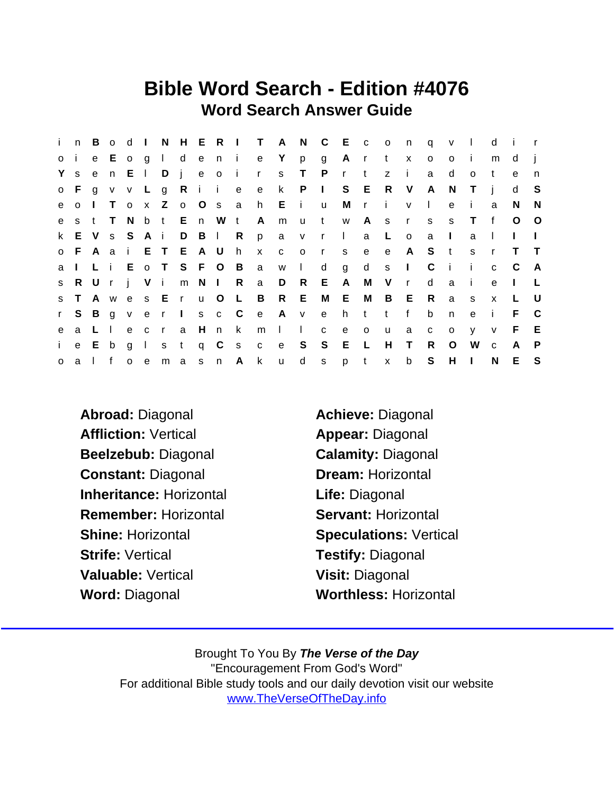## Bible Word Search - Edition #4076 Word Search Answer Guide

| i.  | n.           | $\overline{B}$ |              | od I |         |         |                 |                       |                         |                | N H E R I T A N C E C O       |              |              |              |       |                 | n              | q            | $\mathsf{v}$   | $\perp$      | d            | - i -        |              |
|-----|--------------|----------------|--------------|------|---------|---------|-----------------|-----------------------|-------------------------|----------------|-------------------------------|--------------|--------------|--------------|-------|-----------------|----------------|--------------|----------------|--------------|--------------|--------------|--------------|
| o i |              | e              |              |      |         |         |                 |                       |                         | E ogldenie Y   |                               |              | pg Ar        |              |       | $t \times$      |                | $\circ$      | $\circ$        | -i-          | m            | d            |              |
| Y s |              | $\mathbf{e}$   |              | n E  |         |         |                 | Djeoi                 |                         | $\mathsf{r}$   | S                             | T P          |              | $\mathsf{r}$ | $-t$  | $z$ i           |                | a            | d              | $\circ$      | t            | e            | n            |
|     |              |                |              |      |         |         |                 |                       |                         |                | o F g v v L g R i i e e k P I |              |              |              | S E R |                 | V              | A            | N,             | $\top$       | j            | d            | -S           |
| e   | $\mathbf{o}$ | $\mathbf{L}$   |              |      |         |         |                 | T o x Z o O s a       |                         | h              | $E$ i                         |              | <b>u</b>     | M r          |       | $\sim$ 1 $\sim$ | $\vee$         | $\Box$       | $\mathbf{e}$   | -i -         | a            | N            | N.           |
|     |              |                |              |      |         |         |                 | est T N b t E n W t   |                         | $\mathsf{A}$   | m                             | u t          |              |              | w A s |                 |                | r s s        |                | $\top$       | f            | $\circ$      | $\circ$      |
|     | k E V        |                |              |      |         |         |                 | S S A i D B I R       |                         | p              | a v r l                       |              |              |              | a     | $\perp$         | $\overline{O}$ | a            | $\Box$         | a            | $\Box$       | $\mathbf{L}$ | $\mathbf{L}$ |
|     |              |                |              |      |         |         |                 | o F A a i E T E A U h |                         | $\mathsf{X}$   | $C$ 0                         |              | r s e        |              |       | $\mathbf{e}$    |                | A S t        |                | <sub>S</sub> | $\mathsf{r}$ | T.           | $\top$       |
|     |              |                |              |      |         |         |                 | al Li E o T S F O B   |                         | a              |                               | $W$          | $\mathsf{d}$ |              |       | g d s l         |                | C            | $\blacksquare$ | $\sim 1$ .   | $\mathbf{C}$ | C.           | A            |
|     |              |                |              |      |         |         |                 |                       | s R U r j V i m N I R a |                | D <sub>R</sub>                |              | E            | A            | M V   |                 | $\mathsf{r}$   | d            | a              | - i-         | e            | $\mathbf{I}$ |              |
|     | s T          |                |              |      |         |         | A w e s E r u O |                       | $\mathsf{L}$            | $\overline{B}$ | R E                           |              |              | M E M        |       | B E             |                | $\mathsf{R}$ | a              | s            | $\mathsf{x}$ | L.           | - U          |
|     | r S B        |                |              |      |         |         | g ver I         | s c C                 |                         |                | e A v                         |              | e            | h t          |       | t               | f              | b            | n              | e            | i.           | F.           | - C          |
| e   | a L          |                | $\mathbf{I}$ |      |         | e c r a |                 | H n k                 |                         | $m \mid$       |                               | $\mathbf{L}$ | $\mathbf{C}$ |              | e o   | <b>u</b>        | a              | $\mathbf{C}$ | $\mathsf{o}$   | y.           | V            | F.           | E            |
|     | i e E        |                | $b$ g        |      | $\pm 1$ |         | s t             | $q$ $C$               |                         |                | S C e S S E L                 |              |              |              |       | H               | $\top$         | R            | $\circ$        | W            | $\mathbf{C}$ | $\mathsf{A}$ | $\mathsf{P}$ |
|     |              |                | oalf         |      |         |         |                 | o e m a s n A         |                         | $\mathsf{k}$   | $\mathsf{u}$                  | $\mathsf{d}$ |              | s p t        |       | $\mathsf{X}$    | b              | S            | $H$ $\perp$    |              | N            | E            | - S          |

- Abroad: Diagonal **Achieve:** Diagonal Affliction: Vertical Appear: Diagonal Beelzebub: Diagonal Calamity: Diagonal Constant: Diagonal Dream: Horizontal Inheritance: Horizontal **Life:** Diagonal Remember: Horizontal **Servant: Horizontal** Shine: Horizontal Shine: Vertical Strife: Vertical Testify: Diagonal Valuable: Vertical Visit: Diagonal Word: Diagonal Worthless: Horizontal
-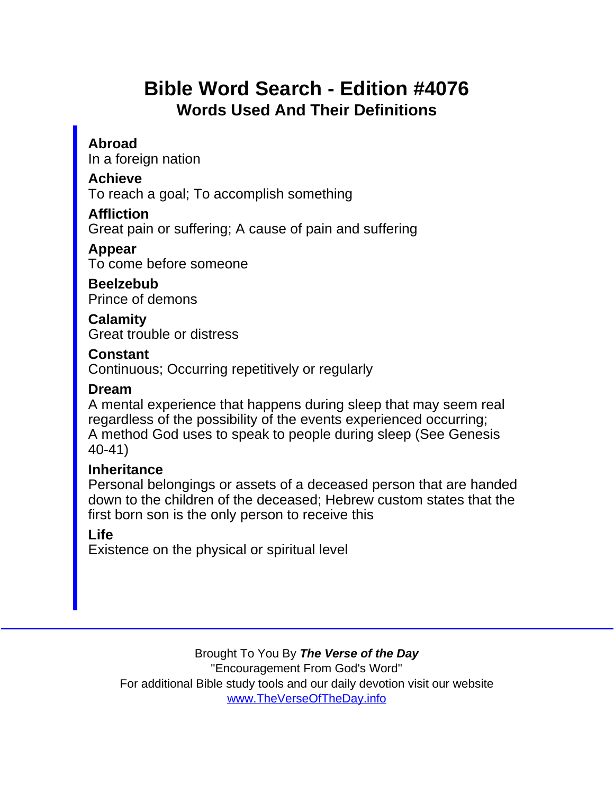## Bible Word Search - Edition #4076 Words Used And Their Definitions

Abroad

In a foreign nation

**Achieve** 

To reach a goal; To accomplish something

Affliction

Great pain or suffering; A cause of pain and suffering

Appear

To come before someone

Beelzebub Prince of demons

**Calamity** Great trouble or distress

**Constant** 

Continuous; Occurring repetitively or regularly

Dream

A mental experience that happens during sleep that may seem real regardless of the possibility of the events experienced occurring; A method God uses to speak to people during sleep (See Genesis 40-41)

**Inheritance** 

Personal belongings or assets of a deceased person that are handed down to the children of the deceased; Hebrew custom states that the first born son is the only person to receive this

Life

Existence on the physical or spiritual level